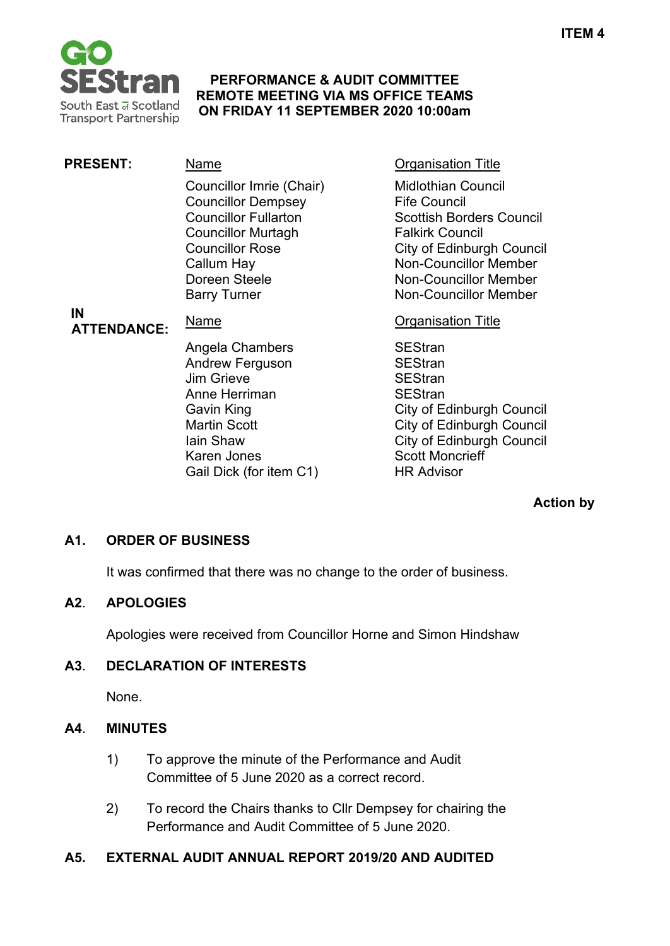

#### **PERFORMANCE & AUDIT COMMITTEE REMOTE MEETING VIA MS OFFICE TEAMS ON FRIDAY 11 SEPTEMBER 2020 10:00am**

| <b>PRESENT:</b>          | Name                                                                                                                                                                                              | <b>Organisation Title</b>                                                                                                                                                                                                                  |
|--------------------------|---------------------------------------------------------------------------------------------------------------------------------------------------------------------------------------------------|--------------------------------------------------------------------------------------------------------------------------------------------------------------------------------------------------------------------------------------------|
| IN<br><b>ATTENDANCE:</b> | Councillor Imrie (Chair)<br><b>Councillor Dempsey</b><br><b>Councillor Fullarton</b><br><b>Councillor Murtagh</b><br><b>Councillor Rose</b><br>Callum Hay<br>Doreen Steele<br><b>Barry Turner</b> | <b>Midlothian Council</b><br><b>Fife Council</b><br><b>Scottish Borders Council</b><br><b>Falkirk Council</b><br>City of Edinburgh Council<br><b>Non-Councillor Member</b><br><b>Non-Councillor Member</b><br><b>Non-Councillor Member</b> |
|                          | Name                                                                                                                                                                                              | <b>Organisation Title</b>                                                                                                                                                                                                                  |
|                          | Angela Chambers<br><b>Andrew Ferguson</b><br>Jim Grieve<br>Anne Herriman                                                                                                                          | <b>SEStran</b><br><b>SEStran</b><br><b>SEStran</b><br><b>SEStran</b>                                                                                                                                                                       |

**Action by**

City of Edinburgh Council

### **A1. ORDER OF BUSINESS**

It was confirmed that there was no change to the order of business.

Gavin King City of Edinburgh Council Martin Scott **City of Edinburgh Council**<br>
Iain Shaw **City of Edinburgh Council** 

Karen Jones **Scott Moncrieff** Gail Dick (for item C1) HR Advisor

#### **A2**. **APOLOGIES**

Apologies were received from Councillor Horne and Simon Hindshaw

### **A3**. **DECLARATION OF INTERESTS**

None.

#### **A4**. **MINUTES**

- 1) To approve the minute of the Performance and Audit Committee of 5 June 2020 as a correct record.
- 2) To record the Chairs thanks to Cllr Dempsey for chairing the Performance and Audit Committee of 5 June 2020.

### **A5. EXTERNAL AUDIT ANNUAL REPORT 2019/20 AND AUDITED**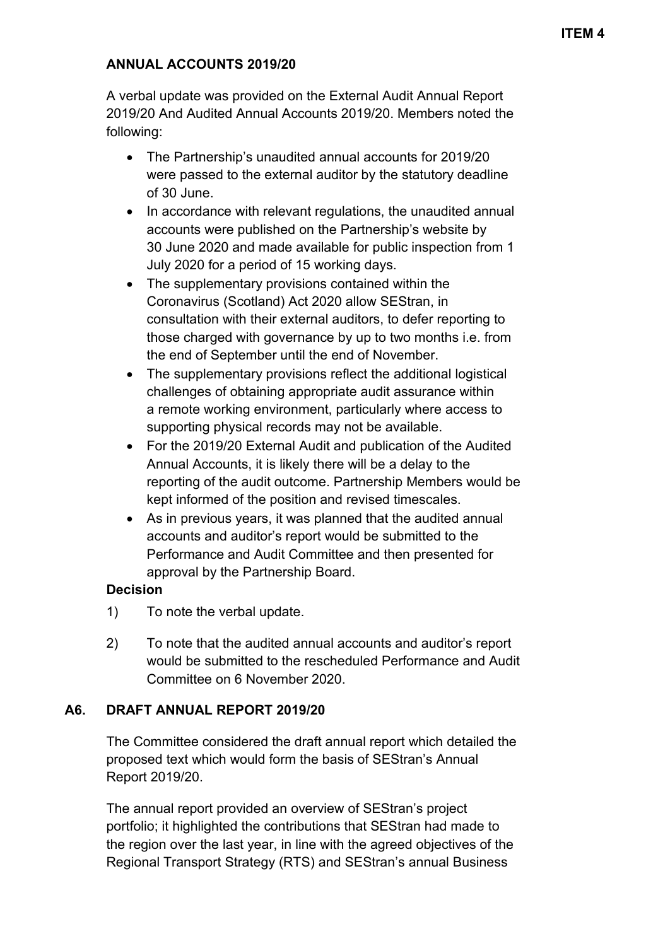### **ANNUAL ACCOUNTS 2019/20**

A verbal update was provided on the External Audit Annual Report 2019/20 And Audited Annual Accounts 2019/20. Members noted the following:

- The Partnership's unaudited annual accounts for 2019/20 were passed to the external auditor by the statutory deadline of 30 June.
- In accordance with relevant regulations, the unaudited annual accounts were published on the Partnership's website by 30 June 2020 and made available for public inspection from 1 July 2020 for a period of 15 working days.
- The supplementary provisions contained within the Coronavirus (Scotland) Act 2020 allow SEStran, in consultation with their external auditors, to defer reporting to those charged with governance by up to two months i.e. from the end of September until the end of November.
- The supplementary provisions reflect the additional logistical challenges of obtaining appropriate audit assurance within a remote working environment, particularly where access to supporting physical records may not be available.
- For the 2019/20 External Audit and publication of the Audited Annual Accounts, it is likely there will be a delay to the reporting of the audit outcome. Partnership Members would be kept informed of the position and revised timescales.
- As in previous years, it was planned that the audited annual accounts and auditor's report would be submitted to the Performance and Audit Committee and then presented for approval by the Partnership Board.

### **Decision**

- 1) To note the verbal update.
- 2) To note that the audited annual accounts and auditor's report would be submitted to the rescheduled Performance and Audit Committee on 6 November 2020.

## **A6. DRAFT ANNUAL REPORT 2019/20**

The Committee considered the draft annual report which detailed the proposed text which would form the basis of SEStran's Annual Report 2019/20.

The annual report provided an overview of SEStran's project portfolio; it highlighted the contributions that SEStran had made to the region over the last year, in line with the agreed objectives of the Regional Transport Strategy (RTS) and SEStran's annual Business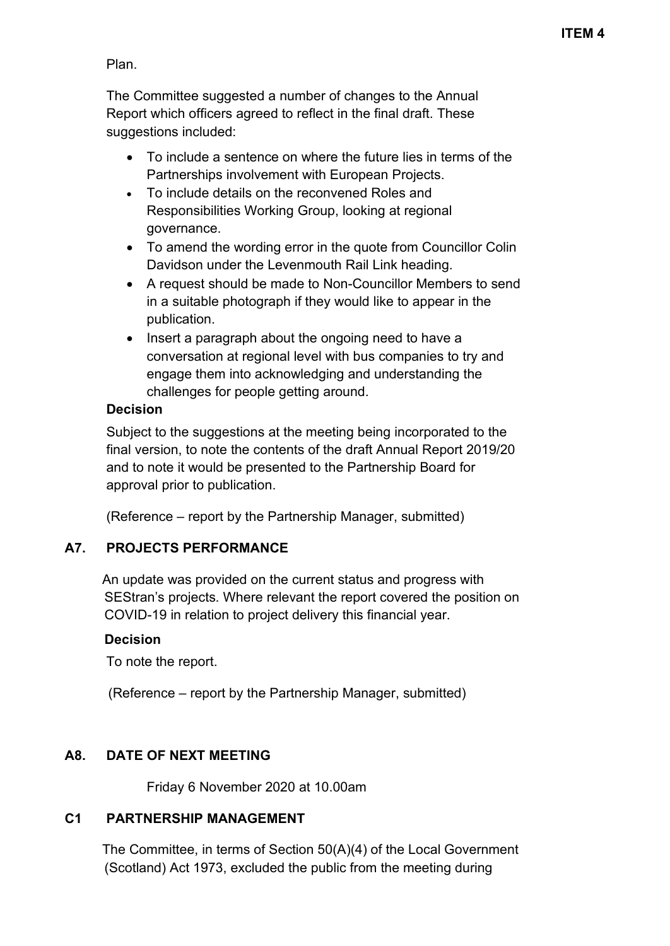Plan.

The Committee suggested a number of changes to the Annual Report which officers agreed to reflect in the final draft. These suggestions included:

- To include a sentence on where the future lies in terms of the Partnerships involvement with European Projects.
- To include details on the reconvened Roles and Responsibilities Working Group, looking at regional governance.
- To amend the wording error in the quote from Councillor Colin Davidson under the Levenmouth Rail Link heading.
- A request should be made to Non-Councillor Members to send in a suitable photograph if they would like to appear in the publication.
- Insert a paragraph about the ongoing need to have a conversation at regional level with bus companies to try and engage them into acknowledging and understanding the challenges for people getting around.

### **Decision**

Subject to the suggestions at the meeting being incorporated to the final version, to note the contents of the draft Annual Report 2019/20 and to note it would be presented to the Partnership Board for approval prior to publication.

(Reference – report by the Partnership Manager, submitted)

## **A7. PROJECTS PERFORMANCE**

An update was provided on the current status and progress with SEStran's projects. Where relevant the report covered the position on COVID-19 in relation to project delivery this financial year.

### **Decision**

To note the report.

(Reference – report by the Partnership Manager, submitted)

# **A8. DATE OF NEXT MEETING**

Friday 6 November 2020 at 10.00am

## **C1 PARTNERSHIP MANAGEMENT**

The Committee, in terms of Section 50(A)(4) of the Local Government (Scotland) Act 1973, excluded the public from the meeting during